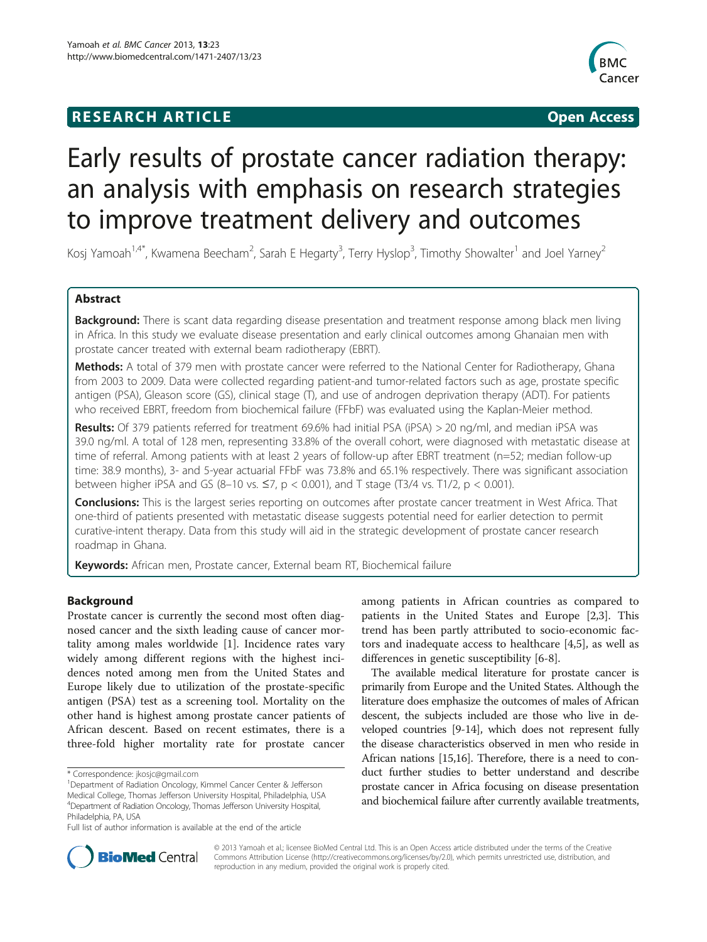## **RESEARCH ARTICLE Example 2018 12:00 Open Access**



# Early results of prostate cancer radiation therapy: an analysis with emphasis on research strategies to improve treatment delivery and outcomes

Kosj Yamoah<sup>1,4\*</sup>, Kwamena Beecham<sup>2</sup>, Sarah E Hegarty<sup>3</sup>, Terry Hyslop<sup>3</sup>, Timothy Showalter<sup>1</sup> and Joel Yarney<sup>2</sup>

## Abstract

Background: There is scant data regarding disease presentation and treatment response among black men living in Africa. In this study we evaluate disease presentation and early clinical outcomes among Ghanaian men with prostate cancer treated with external beam radiotherapy (EBRT).

Methods: A total of 379 men with prostate cancer were referred to the National Center for Radiotherapy, Ghana from 2003 to 2009. Data were collected regarding patient-and tumor-related factors such as age, prostate specific antigen (PSA), Gleason score (GS), clinical stage (T), and use of androgen deprivation therapy (ADT). For patients who received EBRT, freedom from biochemical failure (FFbF) was evaluated using the Kaplan-Meier method.

Results: Of 379 patients referred for treatment 69.6% had initial PSA (iPSA) > 20 ng/ml, and median iPSA was 39.0 ng/ml. A total of 128 men, representing 33.8% of the overall cohort, were diagnosed with metastatic disease at time of referral. Among patients with at least 2 years of follow-up after EBRT treatment (n=52; median follow-up time: 38.9 months), 3- and 5-year actuarial FFbF was 73.8% and 65.1% respectively. There was significant association between higher iPSA and GS (8-10 vs.  $\leq$ 7, p < 0.001), and T stage (T3/4 vs. T1/2, p < 0.001).

Conclusions: This is the largest series reporting on outcomes after prostate cancer treatment in West Africa. That one-third of patients presented with metastatic disease suggests potential need for earlier detection to permit curative-intent therapy. Data from this study will aid in the strategic development of prostate cancer research roadmap in Ghana.

Keywords: African men, Prostate cancer, External beam RT, Biochemical failure

## Background

Prostate cancer is currently the second most often diagnosed cancer and the sixth leading cause of cancer mortality among males worldwide [\[1](#page-6-0)]. Incidence rates vary widely among different regions with the highest incidences noted among men from the United States and Europe likely due to utilization of the prostate-specific antigen (PSA) test as a screening tool. Mortality on the other hand is highest among prostate cancer patients of African descent. Based on recent estimates, there is a three-fold higher mortality rate for prostate cancer

among patients in African countries as compared to patients in the United States and Europe [\[2](#page-6-0),[3](#page-6-0)]. This trend has been partly attributed to socio-economic factors and inadequate access to healthcare [\[4](#page-6-0),[5](#page-6-0)], as well as differences in genetic susceptibility [[6-8\]](#page-6-0).

The available medical literature for prostate cancer is primarily from Europe and the United States. Although the literature does emphasize the outcomes of males of African descent, the subjects included are those who live in developed countries [[9-14\]](#page-6-0), which does not represent fully the disease characteristics observed in men who reside in African nations [[15,16\]](#page-6-0). Therefore, there is a need to conduct further studies to better understand and describe prostate cancer in Africa focusing on disease presentation and biochemical failure after currently available treatments,



© 2013 Yamoah et al.; licensee BioMed Central Ltd. This is an Open Access article distributed under the terms of the Creative Commons Attribution License [\(http://creativecommons.org/licenses/by/2.0\)](http://creativecommons.org/licenses/by/2.0), which permits unrestricted use, distribution, and reproduction in any medium, provided the original work is properly cited.

<sup>\*</sup> Correspondence: [jkosjc@gmail.com](mailto:jkosjc@gmail.com) <sup>1</sup>

<sup>&</sup>lt;sup>1</sup> Department of Radiation Oncology, Kimmel Cancer Center & Jefferson Medical College, Thomas Jefferson University Hospital, Philadelphia, USA 4 Department of Radiation Oncology, Thomas Jefferson University Hospital, Philadelphia, PA, USA

Full list of author information is available at the end of the article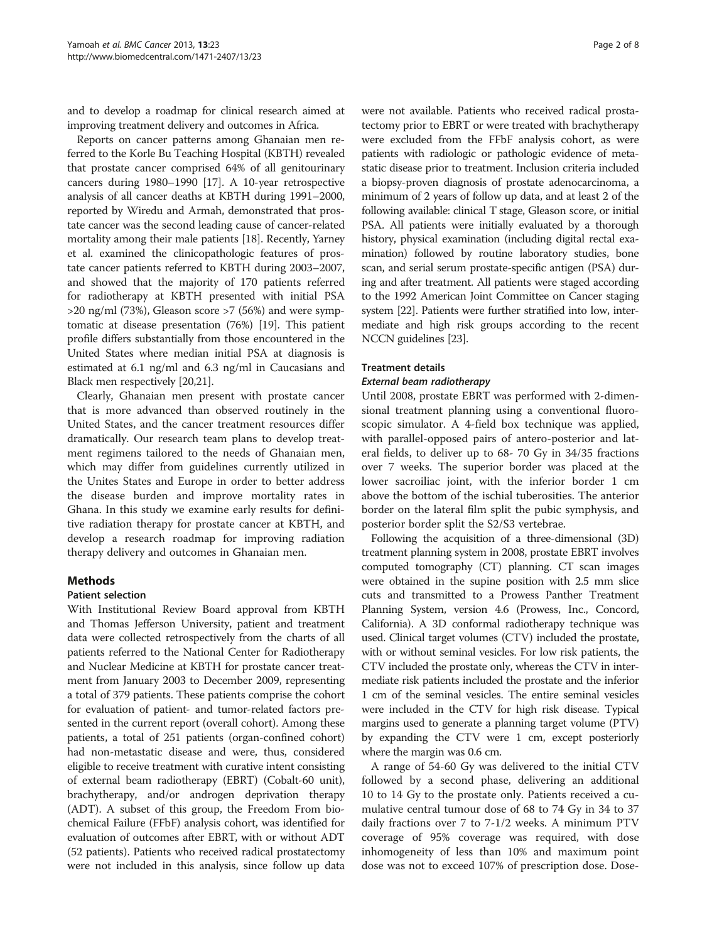and to develop a roadmap for clinical research aimed at improving treatment delivery and outcomes in Africa.

Reports on cancer patterns among Ghanaian men referred to the Korle Bu Teaching Hospital (KBTH) revealed that prostate cancer comprised 64% of all genitourinary cancers during 1980–1990 [\[17\]](#page-6-0). A 10-year retrospective analysis of all cancer deaths at KBTH during 1991–2000, reported by Wiredu and Armah, demonstrated that prostate cancer was the second leading cause of cancer-related mortality among their male patients [[18\]](#page-6-0). Recently, Yarney et al. examined the clinicopathologic features of prostate cancer patients referred to KBTH during 2003–2007, and showed that the majority of 170 patients referred for radiotherapy at KBTH presented with initial PSA  $>$ 20 ng/ml (73%), Gleason score  $>$ 7 (56%) and were symptomatic at disease presentation (76%) [\[19\]](#page-6-0). This patient profile differs substantially from those encountered in the United States where median initial PSA at diagnosis is estimated at 6.1 ng/ml and 6.3 ng/ml in Caucasians and Black men respectively [[20,21\]](#page-6-0).

Clearly, Ghanaian men present with prostate cancer that is more advanced than observed routinely in the United States, and the cancer treatment resources differ dramatically. Our research team plans to develop treatment regimens tailored to the needs of Ghanaian men, which may differ from guidelines currently utilized in the Unites States and Europe in order to better address the disease burden and improve mortality rates in Ghana. In this study we examine early results for definitive radiation therapy for prostate cancer at KBTH, and develop a research roadmap for improving radiation therapy delivery and outcomes in Ghanaian men.

## Methods

## Patient selection

With Institutional Review Board approval from KBTH and Thomas Jefferson University, patient and treatment data were collected retrospectively from the charts of all patients referred to the National Center for Radiotherapy and Nuclear Medicine at KBTH for prostate cancer treatment from January 2003 to December 2009, representing a total of 379 patients. These patients comprise the cohort for evaluation of patient- and tumor-related factors presented in the current report (overall cohort). Among these patients, a total of 251 patients (organ-confined cohort) had non-metastatic disease and were, thus, considered eligible to receive treatment with curative intent consisting of external beam radiotherapy (EBRT) (Cobalt-60 unit), brachytherapy, and/or androgen deprivation therapy (ADT). A subset of this group, the Freedom From biochemical Failure (FFbF) analysis cohort, was identified for evaluation of outcomes after EBRT, with or without ADT (52 patients). Patients who received radical prostatectomy were not included in this analysis, since follow up data

were not available. Patients who received radical prostatectomy prior to EBRT or were treated with brachytherapy were excluded from the FFbF analysis cohort, as were patients with radiologic or pathologic evidence of metastatic disease prior to treatment. Inclusion criteria included a biopsy-proven diagnosis of prostate adenocarcinoma, a minimum of 2 years of follow up data, and at least 2 of the following available: clinical T stage, Gleason score, or initial PSA. All patients were initially evaluated by a thorough history, physical examination (including digital rectal examination) followed by routine laboratory studies, bone scan, and serial serum prostate-specific antigen (PSA) during and after treatment. All patients were staged according to the 1992 American Joint Committee on Cancer staging system [[22](#page-6-0)]. Patients were further stratified into low, intermediate and high risk groups according to the recent NCCN guidelines [\[23\]](#page-6-0).

## Treatment details

## External beam radiotherapy

Until 2008, prostate EBRT was performed with 2-dimensional treatment planning using a conventional fluoroscopic simulator. A 4-field box technique was applied, with parallel-opposed pairs of antero-posterior and lateral fields, to deliver up to 68- 70 Gy in 34/35 fractions over 7 weeks. The superior border was placed at the lower sacroiliac joint, with the inferior border 1 cm above the bottom of the ischial tuberosities. The anterior border on the lateral film split the pubic symphysis, and posterior border split the S2/S3 vertebrae.

Following the acquisition of a three-dimensional (3D) treatment planning system in 2008, prostate EBRT involves computed tomography (CT) planning. CT scan images were obtained in the supine position with 2.5 mm slice cuts and transmitted to a Prowess Panther Treatment Planning System, version 4.6 (Prowess, Inc., Concord, California). A 3D conformal radiotherapy technique was used. Clinical target volumes (CTV) included the prostate, with or without seminal vesicles. For low risk patients, the CTV included the prostate only, whereas the CTV in intermediate risk patients included the prostate and the inferior 1 cm of the seminal vesicles. The entire seminal vesicles were included in the CTV for high risk disease. Typical margins used to generate a planning target volume (PTV) by expanding the CTV were 1 cm, except posteriorly where the margin was 0.6 cm.

A range of 54-60 Gy was delivered to the initial CTV followed by a second phase, delivering an additional 10 to 14 Gy to the prostate only. Patients received a cumulative central tumour dose of 68 to 74 Gy in 34 to 37 daily fractions over 7 to 7-1/2 weeks. A minimum PTV coverage of 95% coverage was required, with dose inhomogeneity of less than 10% and maximum point dose was not to exceed 107% of prescription dose. Dose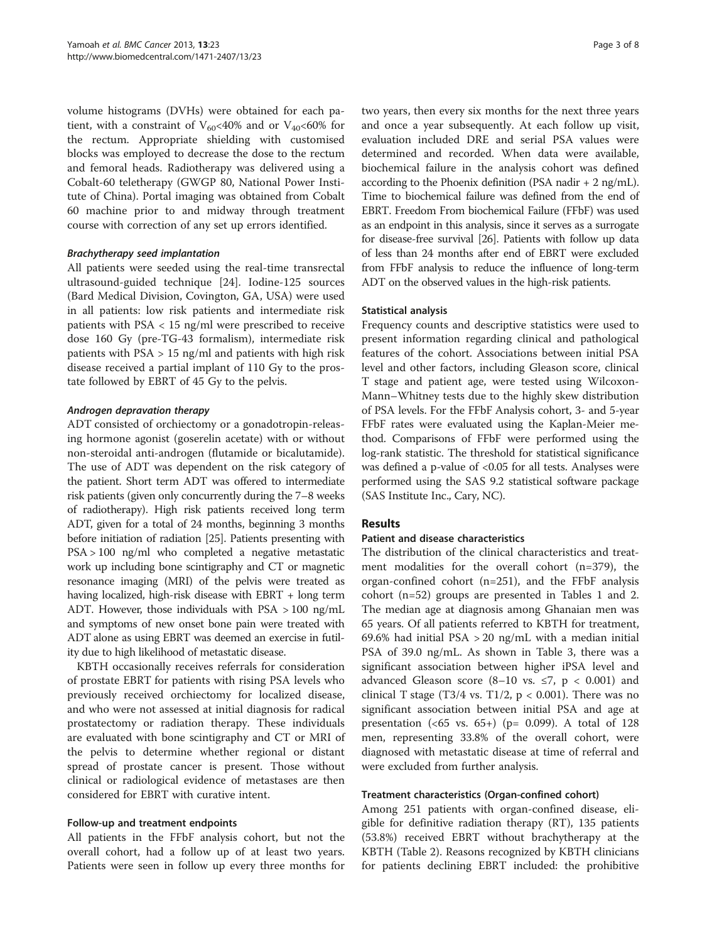volume histograms (DVHs) were obtained for each patient, with a constraint of  $V_{60}$ <40% and or  $V_{40}$ <60% for the rectum. Appropriate shielding with customised blocks was employed to decrease the dose to the rectum and femoral heads. Radiotherapy was delivered using a Cobalt-60 teletherapy (GWGP 80, National Power Institute of China). Portal imaging was obtained from Cobalt 60 machine prior to and midway through treatment course with correction of any set up errors identified.

## Brachytherapy seed implantation

All patients were seeded using the real-time transrectal ultrasound-guided technique [[24\]](#page-6-0). Iodine-125 sources (Bard Medical Division, Covington, GA, USA) were used in all patients: low risk patients and intermediate risk patients with PSA < 15 ng/ml were prescribed to receive dose 160 Gy (pre-TG-43 formalism), intermediate risk patients with  $PSA > 15$  ng/ml and patients with high risk disease received a partial implant of 110 Gy to the prostate followed by EBRT of 45 Gy to the pelvis.

## Androgen depravation therapy

ADT consisted of orchiectomy or a gonadotropin-releasing hormone agonist (goserelin acetate) with or without non-steroidal anti-androgen (flutamide or bicalutamide). The use of ADT was dependent on the risk category of the patient. Short term ADT was offered to intermediate risk patients (given only concurrently during the 7–8 weeks of radiotherapy). High risk patients received long term ADT, given for a total of 24 months, beginning 3 months before initiation of radiation [\[25](#page-6-0)]. Patients presenting with PSA > 100 ng/ml who completed a negative metastatic work up including bone scintigraphy and CT or magnetic resonance imaging (MRI) of the pelvis were treated as having localized, high-risk disease with EBRT + long term ADT. However, those individuals with PSA > 100 ng/mL and symptoms of new onset bone pain were treated with ADT alone as using EBRT was deemed an exercise in futility due to high likelihood of metastatic disease.

KBTH occasionally receives referrals for consideration of prostate EBRT for patients with rising PSA levels who previously received orchiectomy for localized disease, and who were not assessed at initial diagnosis for radical prostatectomy or radiation therapy. These individuals are evaluated with bone scintigraphy and CT or MRI of the pelvis to determine whether regional or distant spread of prostate cancer is present. Those without clinical or radiological evidence of metastases are then considered for EBRT with curative intent.

## Follow-up and treatment endpoints

All patients in the FFbF analysis cohort, but not the overall cohort, had a follow up of at least two years. Patients were seen in follow up every three months for

two years, then every six months for the next three years and once a year subsequently. At each follow up visit, evaluation included DRE and serial PSA values were determined and recorded. When data were available, biochemical failure in the analysis cohort was defined according to the Phoenix definition (PSA nadir  $+ 2$  ng/mL). Time to biochemical failure was defined from the end of EBRT. Freedom From biochemical Failure (FFbF) was used as an endpoint in this analysis, since it serves as a surrogate for disease-free survival [\[26](#page-6-0)]. Patients with follow up data of less than 24 months after end of EBRT were excluded from FFbF analysis to reduce the influence of long-term ADT on the observed values in the high-risk patients.

## Statistical analysis

Frequency counts and descriptive statistics were used to present information regarding clinical and pathological features of the cohort. Associations between initial PSA level and other factors, including Gleason score, clinical T stage and patient age, were tested using Wilcoxon-Mann–Whitney tests due to the highly skew distribution of PSA levels. For the FFbF Analysis cohort, 3- and 5-year FFbF rates were evaluated using the Kaplan-Meier method. Comparisons of FFbF were performed using the log-rank statistic. The threshold for statistical significance was defined a p-value of <0.05 for all tests. Analyses were performed using the SAS 9.2 statistical software package (SAS Institute Inc., Cary, NC).

## **Results**

## Patient and disease characteristics

The distribution of the clinical characteristics and treatment modalities for the overall cohort (n=379), the organ-confined cohort (n=251), and the FFbF analysis cohort (n=52) groups are presented in Tables [1](#page-3-0) and [2](#page-3-0). The median age at diagnosis among Ghanaian men was 65 years. Of all patients referred to KBTH for treatment, 69.6% had initial PSA  $>$  20 ng/mL with a median initial PSA of 39.0 ng/mL. As shown in Table [3](#page-3-0), there was a significant association between higher iPSA level and advanced Gleason score  $(8-10 \text{ vs. } \le 7, \text{ p} < 0.001)$  and clinical T stage (T3/4 vs. T1/2,  $p < 0.001$ ). There was no significant association between initial PSA and age at presentation (<65 vs.  $65+$ ) (p= 0.099). A total of 128 men, representing 33.8% of the overall cohort, were diagnosed with metastatic disease at time of referral and were excluded from further analysis.

## Treatment characteristics (Organ-confined cohort)

Among 251 patients with organ-confined disease, eligible for definitive radiation therapy (RT), 135 patients (53.8%) received EBRT without brachytherapy at the KBTH (Table [2](#page-3-0)). Reasons recognized by KBTH clinicians for patients declining EBRT included: the prohibitive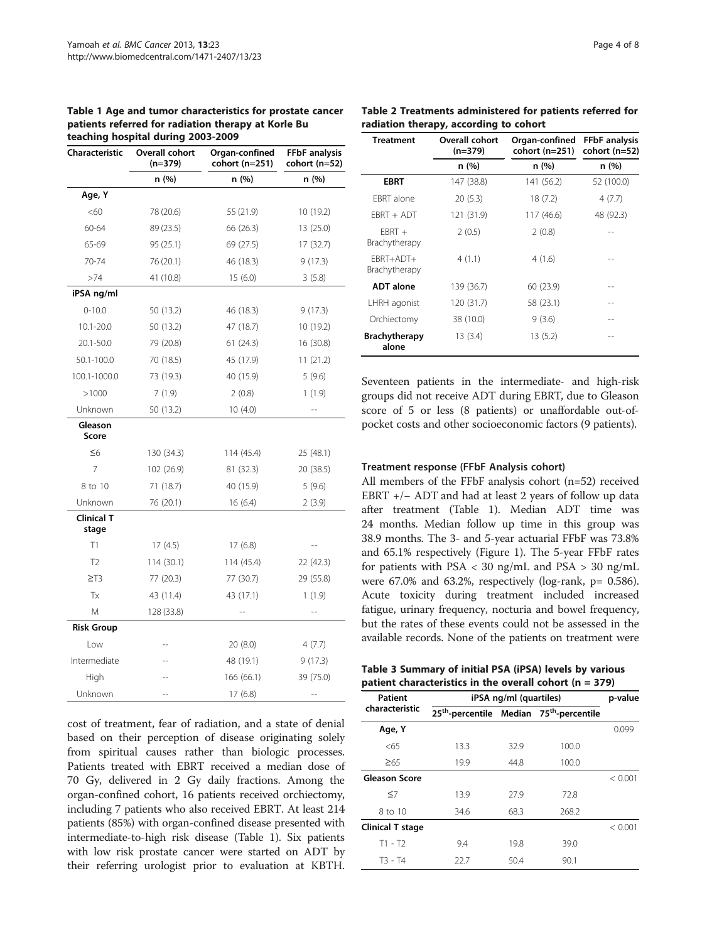<span id="page-3-0"></span>Table 1 Age and tumor characteristics for prostate cancer patients referred for radiation therapy at Korle Bu teaching hospital during 2003-2009

| Characteristic             | Overall cohort<br>$(n=379)$ | Organ-confined<br>cohort (n=251) | <b>FFbF</b> analysis<br>cohort (n=52) |  |
|----------------------------|-----------------------------|----------------------------------|---------------------------------------|--|
|                            | n (%)<br>n (%)              |                                  | n (%)                                 |  |
| Age, Y                     |                             |                                  |                                       |  |
| <60                        | 78 (20.6)                   | 55 (21.9)                        | 10 (19.2)                             |  |
| 60-64                      | 89 (23.5)                   | 13 (25.0)<br>66 (26.3)           |                                       |  |
| 65-69                      | 95 (25.1)                   | 69 (27.5)                        | 17 (32.7)                             |  |
| 70-74                      | 76 (20.1)                   | 46 (18.3)                        | 9(17.3)                               |  |
| >74                        | 41 (10.8)                   | 15(6.0)<br>3(5.8)                |                                       |  |
| iPSA ng/ml                 |                             |                                  |                                       |  |
| $0 - 10.0$                 | 50 (13.2)                   | 46 (18.3)<br>9(17.3)             |                                       |  |
| $10.1 - 20.0$              | 50 (13.2)                   | 47 (18.7)                        | 10 (19.2)                             |  |
| 20.1-50.0                  | 79 (20.8)                   | 61(24.3)                         | 16 (30.8)                             |  |
| 50.1-100.0                 | 70 (18.5)                   | 45 (17.9)                        | 11(21.2)                              |  |
| 100.1-1000.0               | 73 (19.3)                   | 40 (15.9)                        | 5(9.6)                                |  |
| >1000                      | 7(1.9)                      | 2(0.8)<br>1(1.9)                 |                                       |  |
| Unknown                    | 50 (13.2)                   | 10(4.0)                          | $-$                                   |  |
| Gleason<br>Score           |                             |                                  |                                       |  |
| $\leq 6$                   | 130 (34.3)                  | 114 (45.4)                       | 25 (48.1)                             |  |
| 7                          | 102 (26.9)                  | 81 (32.3)<br>20 (38.5)           |                                       |  |
| 8 to 10                    | 71 (18.7)                   | 40 (15.9)<br>5(9.6)              |                                       |  |
| Unknown                    | 76 (20.1)                   | 16(6.4)<br>2(3.9)                |                                       |  |
| <b>Clinical T</b><br>stage |                             |                                  |                                       |  |
| T1                         | 17(4.5)                     | 17(6.8)                          |                                       |  |
| T <sub>2</sub>             | 114(30.1)                   | 114 (45.4)                       | 22 (42.3)                             |  |
| $\geq$ T3                  | 77 (20.3)                   | 77 (30.7)                        | 29 (55.8)                             |  |
| Tx                         | 43 (11.4)                   | 1(1.9)<br>43 (17.1)              |                                       |  |
| M                          | 128 (33.8)                  |                                  |                                       |  |
| <b>Risk Group</b>          |                             |                                  |                                       |  |
| Low                        |                             | 20 (8.0)<br>4(7.7)               |                                       |  |
| Intermediate               |                             | 48 (19.1)                        | 9 (17.3)                              |  |
| High                       |                             | 166 (66.1)                       | 39 (75.0)                             |  |
| Unknown                    | $-$                         | 17 (6.8)                         | $-1$                                  |  |

cost of treatment, fear of radiation, and a state of denial based on their perception of disease originating solely from spiritual causes rather than biologic processes. Patients treated with EBRT received a median dose of 70 Gy, delivered in 2 Gy daily fractions. Among the organ-confined cohort, 16 patients received orchiectomy, including 7 patients who also received EBRT. At least 214 patients (85%) with organ-confined disease presented with intermediate-to-high risk disease (Table 1). Six patients with low risk prostate cancer were started on ADT by their referring urologist prior to evaluation at KBTH.

| <b>Treatment</b>              | Overall cohort<br>(n=379) | Organ-confined<br>cohort (n=251) | <b>FFbF</b> analysis<br>cohort (n=52) |  |
|-------------------------------|---------------------------|----------------------------------|---------------------------------------|--|
|                               | n (%)                     | n(%)                             | n (%)                                 |  |
| <b>EBRT</b>                   | 147 (38.8)                | 141 (56.2)                       | 52 (100.0)                            |  |
| <b>FBRT</b> alone             | 20(5.3)                   | 18(7.2)                          | 4 (7.7)                               |  |
| $FRRT + ADT$                  | 121 (31.9)                | 117 (46.6)                       | 48 (92.3)                             |  |
| $FRRT +$<br>Brachytherapy     | 2(0.5)                    | 2(0.8)                           |                                       |  |
| FBRT+ADT+<br>Brachytherapy    | 4(1.1)                    | 4(1.6)                           |                                       |  |
| <b>ADT</b> alone              | 139 (36.7)                | 60 (23.9)                        |                                       |  |
| LHRH agonist                  | 120 (31.7)                | 58 (23.1)                        |                                       |  |
| Orchiectomy                   | 38 (10.0)                 | 9(3.6)                           |                                       |  |
| <b>Brachytherapy</b><br>alone | 13(3.4)                   | 13 (5.2)                         |                                       |  |

Seventeen patients in the intermediate- and high-risk groups did not receive ADT during EBRT, due to Gleason score of 5 or less (8 patients) or unaffordable out-ofpocket costs and other socioeconomic factors (9 patients).

### Treatment response (FFbF Analysis cohort)

All members of the FFbF analysis cohort (n=52) received EBRT +/− ADT and had at least 2 years of follow up data after treatment (Table 1). Median ADT time was 24 months. Median follow up time in this group was 38.9 months. The 3- and 5-year actuarial FFbF was 73.8% and 65.1% respectively (Figure [1\)](#page-4-0). The 5-year FFbF rates for patients with PSA < 30 ng/mL and PSA > 30 ng/mL were  $67.0\%$  and  $63.2\%$ , respectively (log-rank,  $p= 0.586$ ). Acute toxicity during treatment included increased fatigue, urinary frequency, nocturia and bowel frequency, but the rates of these events could not be assessed in the available records. None of the patients on treatment were

Table 3 Summary of initial PSA (iPSA) levels by various patient characteristics in the overall cohort (n = 379)

| Patient              | iPSA ng/ml (quartiles) | p-value |                                                                  |         |
|----------------------|------------------------|---------|------------------------------------------------------------------|---------|
| characteristic       |                        |         | 25 <sup>th</sup> -percentile Median 75 <sup>th</sup> -percentile |         |
| Age, Y               |                        |         |                                                                  | 0.099   |
| < 65                 | 13.3                   | 32.9    | 100.0                                                            |         |
| $\geq 65$            | 19.9                   | 44.8    | 100.0                                                            |         |
| <b>Gleason Score</b> |                        |         |                                                                  | < 0.001 |
| $\leq$ 7             | 13.9                   | 27.9    | 72.8                                                             |         |
| 8 to 10              | 34.6                   | 68.3    | 268.2                                                            |         |
| Clinical T stage     |                        |         |                                                                  | < 0.001 |
| $T1 - T2$            | 9.4                    | 19.8    | 39.0                                                             |         |
| $T3 - T4$            | 22.7                   | 50.4    | 90.1                                                             |         |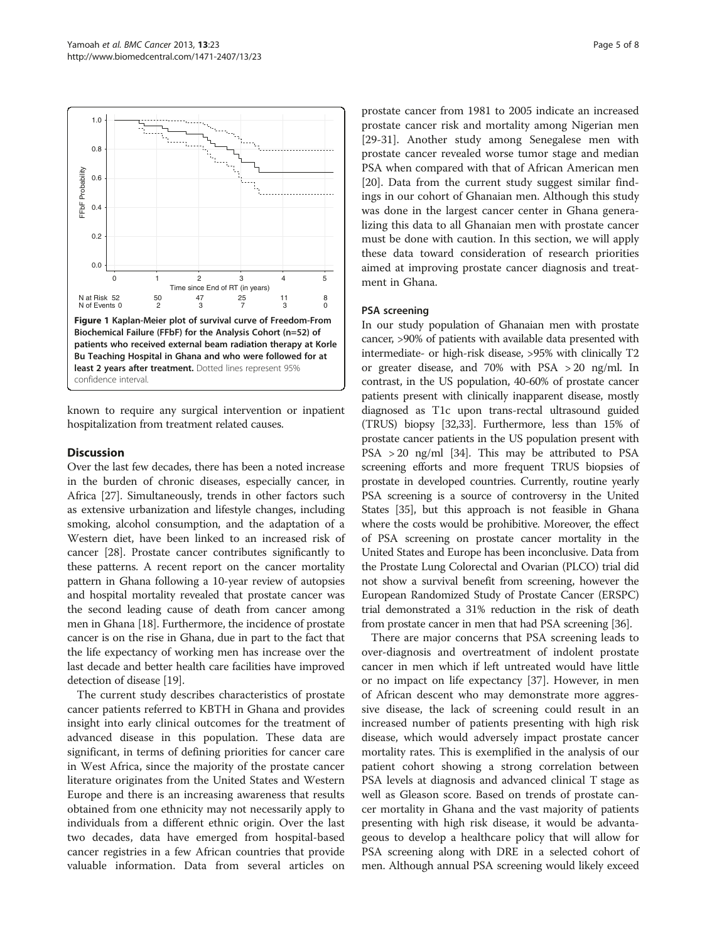

## **Discussion**

Over the last few decades, there has been a noted increase in the burden of chronic diseases, especially cancer, in Africa [\[27\]](#page-6-0). Simultaneously, trends in other factors such as extensive urbanization and lifestyle changes, including smoking, alcohol consumption, and the adaptation of a Western diet, have been linked to an increased risk of cancer [\[28\]](#page-6-0). Prostate cancer contributes significantly to these patterns. A recent report on the cancer mortality pattern in Ghana following a 10-year review of autopsies and hospital mortality revealed that prostate cancer was the second leading cause of death from cancer among men in Ghana [\[18\]](#page-6-0). Furthermore, the incidence of prostate cancer is on the rise in Ghana, due in part to the fact that the life expectancy of working men has increase over the last decade and better health care facilities have improved detection of disease [[19](#page-6-0)].

The current study describes characteristics of prostate cancer patients referred to KBTH in Ghana and provides insight into early clinical outcomes for the treatment of advanced disease in this population. These data are significant, in terms of defining priorities for cancer care in West Africa, since the majority of the prostate cancer literature originates from the United States and Western Europe and there is an increasing awareness that results obtained from one ethnicity may not necessarily apply to individuals from a different ethnic origin. Over the last two decades, data have emerged from hospital-based cancer registries in a few African countries that provide valuable information. Data from several articles on

prostate cancer from 1981 to 2005 indicate an increased prostate cancer risk and mortality among Nigerian men [[29-](#page-6-0)[31](#page-7-0)]. Another study among Senegalese men with prostate cancer revealed worse tumor stage and median PSA when compared with that of African American men [[20\]](#page-6-0). Data from the current study suggest similar findings in our cohort of Ghanaian men. Although this study was done in the largest cancer center in Ghana generalizing this data to all Ghanaian men with prostate cancer must be done with caution. In this section, we will apply these data toward consideration of research priorities aimed at improving prostate cancer diagnosis and treatment in Ghana.

#### PSA screening

In our study population of Ghanaian men with prostate cancer, >90% of patients with available data presented with intermediate- or high-risk disease, >95% with clinically T2 or greater disease, and 70% with PSA > 20 ng/ml. In contrast, in the US population, 40-60% of prostate cancer patients present with clinically inapparent disease, mostly diagnosed as T1c upon trans-rectal ultrasound guided (TRUS) biopsy [\[32](#page-7-0),[33](#page-7-0)]. Furthermore, less than 15% of prostate cancer patients in the US population present with PSA > 20 ng/ml [\[34\]](#page-7-0). This may be attributed to PSA screening efforts and more frequent TRUS biopsies of prostate in developed countries. Currently, routine yearly PSA screening is a source of controversy in the United States [\[35\]](#page-7-0), but this approach is not feasible in Ghana where the costs would be prohibitive. Moreover, the effect of PSA screening on prostate cancer mortality in the United States and Europe has been inconclusive. Data from the Prostate Lung Colorectal and Ovarian (PLCO) trial did not show a survival benefit from screening, however the European Randomized Study of Prostate Cancer (ERSPC) trial demonstrated a 31% reduction in the risk of death from prostate cancer in men that had PSA screening [\[36\]](#page-7-0).

There are major concerns that PSA screening leads to over-diagnosis and overtreatment of indolent prostate cancer in men which if left untreated would have little or no impact on life expectancy [\[37](#page-7-0)]. However, in men of African descent who may demonstrate more aggressive disease, the lack of screening could result in an increased number of patients presenting with high risk disease, which would adversely impact prostate cancer mortality rates. This is exemplified in the analysis of our patient cohort showing a strong correlation between PSA levels at diagnosis and advanced clinical T stage as well as Gleason score. Based on trends of prostate cancer mortality in Ghana and the vast majority of patients presenting with high risk disease, it would be advantageous to develop a healthcare policy that will allow for PSA screening along with DRE in a selected cohort of men. Although annual PSA screening would likely exceed

<span id="page-4-0"></span>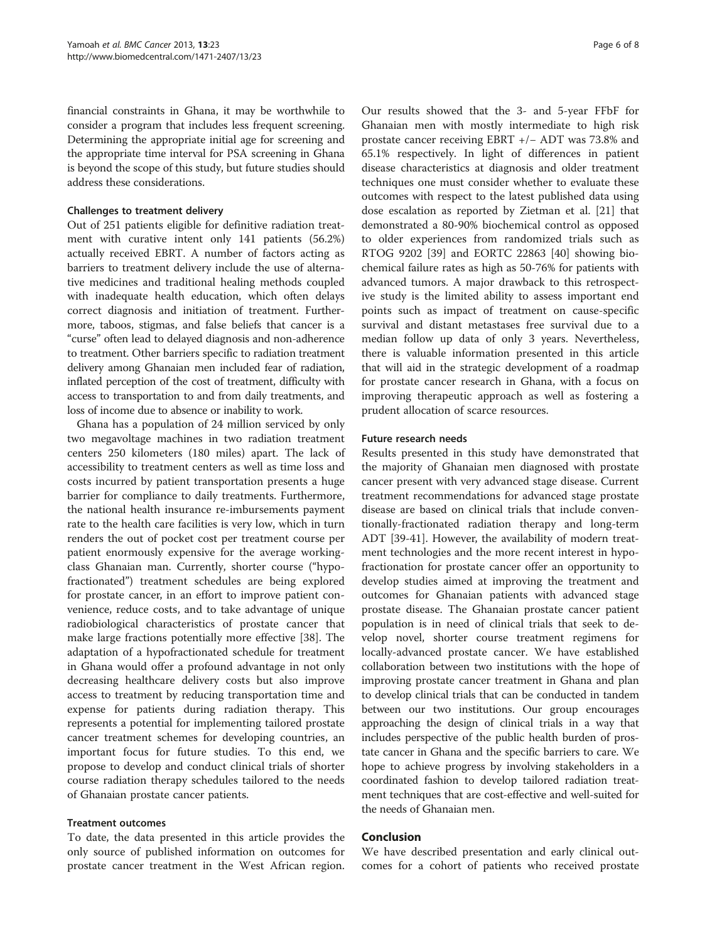financial constraints in Ghana, it may be worthwhile to consider a program that includes less frequent screening. Determining the appropriate initial age for screening and the appropriate time interval for PSA screening in Ghana is beyond the scope of this study, but future studies should address these considerations.

## Challenges to treatment delivery

Out of 251 patients eligible for definitive radiation treatment with curative intent only 141 patients (56.2%) actually received EBRT. A number of factors acting as barriers to treatment delivery include the use of alternative medicines and traditional healing methods coupled with inadequate health education, which often delays correct diagnosis and initiation of treatment. Furthermore, taboos, stigmas, and false beliefs that cancer is a "curse" often lead to delayed diagnosis and non-adherence to treatment. Other barriers specific to radiation treatment delivery among Ghanaian men included fear of radiation, inflated perception of the cost of treatment, difficulty with access to transportation to and from daily treatments, and loss of income due to absence or inability to work.

Ghana has a population of 24 million serviced by only two megavoltage machines in two radiation treatment centers 250 kilometers (180 miles) apart. The lack of accessibility to treatment centers as well as time loss and costs incurred by patient transportation presents a huge barrier for compliance to daily treatments. Furthermore, the national health insurance re-imbursements payment rate to the health care facilities is very low, which in turn renders the out of pocket cost per treatment course per patient enormously expensive for the average workingclass Ghanaian man. Currently, shorter course ("hypofractionated") treatment schedules are being explored for prostate cancer, in an effort to improve patient convenience, reduce costs, and to take advantage of unique radiobiological characteristics of prostate cancer that make large fractions potentially more effective [[38\]](#page-7-0). The adaptation of a hypofractionated schedule for treatment in Ghana would offer a profound advantage in not only decreasing healthcare delivery costs but also improve access to treatment by reducing transportation time and expense for patients during radiation therapy. This represents a potential for implementing tailored prostate cancer treatment schemes for developing countries, an important focus for future studies. To this end, we propose to develop and conduct clinical trials of shorter course radiation therapy schedules tailored to the needs of Ghanaian prostate cancer patients.

## Treatment outcomes

To date, the data presented in this article provides the only source of published information on outcomes for prostate cancer treatment in the West African region.

Our results showed that the 3- and 5-year FFbF for Ghanaian men with mostly intermediate to high risk prostate cancer receiving EBRT +/− ADT was 73.8% and 65.1% respectively. In light of differences in patient disease characteristics at diagnosis and older treatment techniques one must consider whether to evaluate these outcomes with respect to the latest published data using dose escalation as reported by Zietman et al. [\[21](#page-6-0)] that demonstrated a 80-90% biochemical control as opposed to older experiences from randomized trials such as RTOG 9202 [\[39\]](#page-7-0) and EORTC 22863 [\[40](#page-7-0)] showing biochemical failure rates as high as 50-76% for patients with advanced tumors. A major drawback to this retrospective study is the limited ability to assess important end points such as impact of treatment on cause-specific survival and distant metastases free survival due to a median follow up data of only 3 years. Nevertheless, there is valuable information presented in this article that will aid in the strategic development of a roadmap for prostate cancer research in Ghana, with a focus on improving therapeutic approach as well as fostering a prudent allocation of scarce resources.

## Future research needs

Results presented in this study have demonstrated that the majority of Ghanaian men diagnosed with prostate cancer present with very advanced stage disease. Current treatment recommendations for advanced stage prostate disease are based on clinical trials that include conventionally-fractionated radiation therapy and long-term ADT [\[39-41](#page-7-0)]. However, the availability of modern treatment technologies and the more recent interest in hypofractionation for prostate cancer offer an opportunity to develop studies aimed at improving the treatment and outcomes for Ghanaian patients with advanced stage prostate disease. The Ghanaian prostate cancer patient population is in need of clinical trials that seek to develop novel, shorter course treatment regimens for locally-advanced prostate cancer. We have established collaboration between two institutions with the hope of improving prostate cancer treatment in Ghana and plan to develop clinical trials that can be conducted in tandem between our two institutions. Our group encourages approaching the design of clinical trials in a way that includes perspective of the public health burden of prostate cancer in Ghana and the specific barriers to care. We hope to achieve progress by involving stakeholders in a coordinated fashion to develop tailored radiation treatment techniques that are cost-effective and well-suited for the needs of Ghanaian men.

## Conclusion

We have described presentation and early clinical outcomes for a cohort of patients who received prostate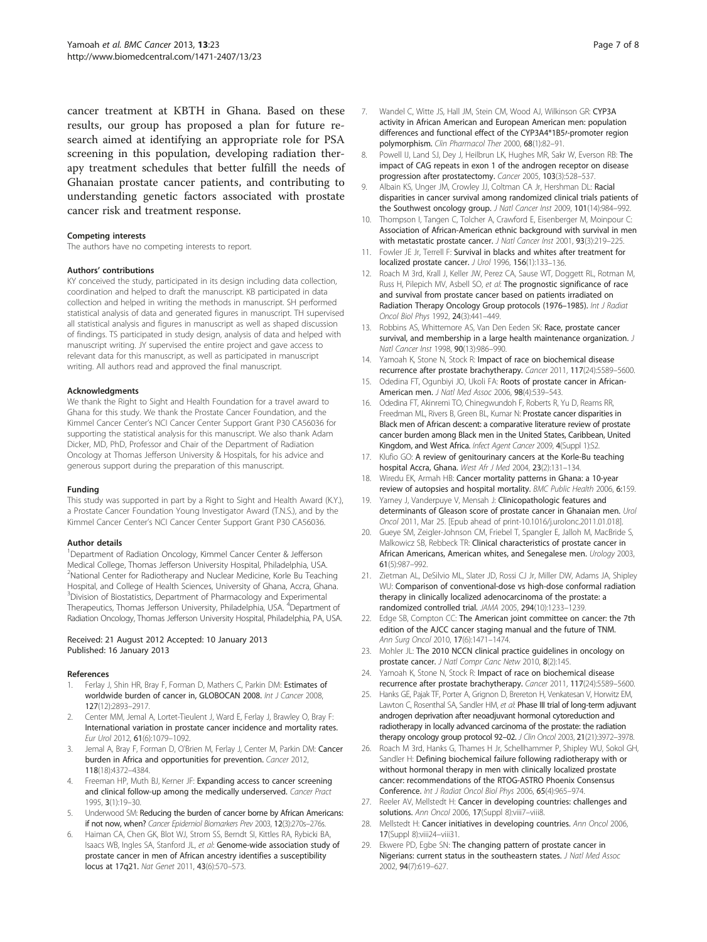<span id="page-6-0"></span>cancer treatment at KBTH in Ghana. Based on these results, our group has proposed a plan for future research aimed at identifying an appropriate role for PSA screening in this population, developing radiation therapy treatment schedules that better fulfill the needs of Ghanaian prostate cancer patients, and contributing to understanding genetic factors associated with prostate cancer risk and treatment response.

#### Competing interests

The authors have no competing interests to report.

#### Authors' contributions

KY conceived the study, participated in its design including data collection, coordination and helped to draft the manuscript. KB participated in data collection and helped in writing the methods in manuscript. SH performed statistical analysis of data and generated figures in manuscript. TH supervised all statistical analysis and figures in manuscript as well as shaped discussion of findings. TS participated in study design, analysis of data and helped with manuscript writing. JY supervised the entire project and gave access to relevant data for this manuscript, as well as participated in manuscript writing. All authors read and approved the final manuscript.

#### Acknowledgments

We thank the Right to Sight and Health Foundation for a travel award to Ghana for this study. We thank the Prostate Cancer Foundation, and the Kimmel Cancer Center's NCI Cancer Center Support Grant P30 CA56036 for supporting the statistical analysis for this manuscript. We also thank Adam Dicker, MD, PhD, Professor and Chair of the Department of Radiation Oncology at Thomas Jefferson University & Hospitals, for his advice and generous support during the preparation of this manuscript.

#### Funding

This study was supported in part by a Right to Sight and Health Award (K.Y.), a Prostate Cancer Foundation Young Investigator Award (T.N.S.), and by the Kimmel Cancer Center's NCI Cancer Center Support Grant P30 CA56036.

#### Author details

<sup>1</sup>Department of Radiation Oncology, Kimmel Cancer Center & Jefferson Medical College, Thomas Jefferson University Hospital, Philadelphia, USA. <sup>2</sup>National Center for Radiotherapy and Nuclear Medicine, Korle Bu Teaching Hospital, and College of Health Sciences, University of Ghana, Accra, Ghana. <sup>3</sup> Division of Biostatistics, Department of Pharmacology and Experimental Therapeutics, Thomas Jefferson University, Philadelphia, USA. <sup>4</sup>Department of Radiation Oncology, Thomas Jefferson University Hospital, Philadelphia, PA, USA.

#### Received: 21 August 2012 Accepted: 10 January 2013 Published: 16 January 2013

#### References

- 1. Ferlay J, Shin HR, Bray F, Forman D, Mathers C, Parkin DM: Estimates of worldwide burden of cancer in, GLOBOCAN 2008. Int J Cancer 2008, 127(12):2893–2917.
- 2. Center MM, Jemal A, Lortet-Tieulent J, Ward E, Ferlay J, Brawley O, Bray F: International variation in prostate cancer incidence and mortality rates. Eur Urol 2012, 61(6):1079–1092.
- 3. Jemal A, Bray F, Forman D, O'Brien M, Ferlay J, Center M, Parkin DM: Cancer burden in Africa and opportunities for prevention. Cancer 2012, 118(18):4372–4384.
- 4. Freeman HP, Muth BJ, Kerner JF: Expanding access to cancer screening and clinical follow-up among the medically underserved. Cancer Pract 1995, 3(1):19–30.
- Underwood SM: Reducing the burden of cancer borne by African Americans: if not now, when? Cancer Epidemiol Biomarkers Prev 2003, 12(3):270s–276s.
- 6. Haiman CA, Chen GK, Blot WJ, Strom SS, Berndt SI, Kittles RA, Rybicki BA, Isaacs WB, Ingles SA, Stanford JL, et al: Genome-wide association study of prostate cancer in men of African ancestry identifies a susceptibility locus at 17q21. Nat Genet 2011, 43(6):570–573.
- 7. Wandel C, Witte JS, Hall JM, Stein CM, Wood AJ, Wilkinson GR: CYP3A activity in African American and European American men: population differences and functional effect of the CYP3A4\*1B5/-promoter region polymorphism. Clin Pharmacol Ther 2000, 68(1):82–91.
- 8. Powell IJ, Land SJ, Dey J, Heilbrun LK, Hughes MR, Sakr W, Everson RB: The impact of CAG repeats in exon 1 of the androgen receptor on disease progression after prostatectomy. Cancer 2005, 103(3):528–537.
- 9. Albain KS, Unger JM, Crowley JJ, Coltman CA Jr, Hershman DL: Racial disparities in cancer survival among randomized clinical trials patients of the Southwest oncology group. J Natl Cancer Inst 2009, 101(14):984–992.
- 10. Thompson I, Tangen C, Tolcher A, Crawford E, Eisenberger M, Moinpour C: Association of African-American ethnic background with survival in men with metastatic prostate cancer. J Natl Cancer Inst 2001, 93(3):219-225.
- 11. Fowler JF Jr, Terrell F: Survival in blacks and whites after treatment for localized prostate cancer. J Urol 1996, 156(1):133–136.
- 12. Roach M 3rd, Krall J, Keller JW, Perez CA, Sause WT, Doggett RL, Rotman M, Russ H, Pilepich MV, Asbell SO, et al: The prognostic significance of race and survival from prostate cancer based on patients irradiated on Radiation Therapy Oncology Group protocols (1976-1985). Int J Radiat Oncol Biol Phys 1992, 24(3):441–449.
- 13. Robbins AS, Whittemore AS, Van Den Eeden SK: Race, prostate cancer survival, and membership in a large health maintenance organization. J Natl Cancer Inst 1998, 90(13):986–990.
- 14. Yamoah K, Stone N, Stock R: Impact of race on biochemical disease recurrence after prostate brachytherapy. Cancer 2011, 117(24):5589–5600.
- 15. Odedina FT, Ogunbiyi JO, Ukoli FA: Roots of prostate cancer in African-American men. J Natl Med Assoc 2006, 98(4):539–543.
- 16. Odedina FT, Akinremi TO, Chinegwundoh F, Roberts R, Yu D, Reams RR, Freedman ML, Rivers B, Green BL, Kumar N: Prostate cancer disparities in Black men of African descent: a comparative literature review of prostate cancer burden among Black men in the United States, Caribbean, United Kingdom, and West Africa. Infect Agent Cancer 2009, 4(Suppl 1):S2.
- 17. Klufio GO: A review of genitourinary cancers at the Korle-Bu teaching hospital Accra, Ghana. West Afr J Med 2004, 23(2):131–134.
- 18. Wiredu EK, Armah HB: Cancer mortality patterns in Ghana: a 10-year review of autopsies and hospital mortality. BMC Public Health 2006, 6:159.
- 19. Yarney J, Vanderpuye V, Mensah J: Clinicopathologic features and determinants of Gleason score of prostate cancer in Ghanaian men. Urol Oncol 2011, Mar 25. [Epub ahead of print-10.1016/j.urolonc.2011.01.018].
- 20. Gueye SM, Zeigler-Johnson CM, Friebel T, Spangler E, Jalloh M, MacBride S, Malkowicz SB, Rebbeck TR: Clinical characteristics of prostate cancer in African Americans, American whites, and Senegalese men. Urology 2003, 61(5):987–992.
- 21. Zietman AL, DeSilvio ML, Slater JD, Rossi CJ Jr, Miller DW, Adams JA, Shipley WU: Comparison of conventional-dose vs high-dose conformal radiation therapy in clinically localized adenocarcinoma of the prostate: a randomized controlled trial. JAMA 2005, 294(10):1233–1239.
- 22. Edge SB, Compton CC: The American joint committee on cancer: the 7th edition of the AJCC cancer staging manual and the future of TNM. Ann Surg Oncol 2010, 17(6):1471–1474.
- 23. Mohler JL: The 2010 NCCN clinical practice quidelines in oncology on prostate cancer. J Natl Compr Canc Netw 2010, 8(2):145.
- 24. Yamoah K, Stone N, Stock R: Impact of race on biochemical disease recurrence after prostate brachytherapy. Cancer 2011, 117(24):5589–5600.
- 25. Hanks GE, Pajak TF, Porter A, Grignon D, Brereton H, Venkatesan V, Horwitz EM, Lawton C, Rosenthal SA, Sandler HM, et al: Phase III trial of long-term adjuvant androgen deprivation after neoadjuvant hormonal cytoreduction and radiotherapy in locally advanced carcinoma of the prostate: the radiation therapy oncology group protocol 92-02. J Clin Oncol 2003, 21(21):3972-3978.
- 26. Roach M 3rd, Hanks G, Thames H Jr, Schellhammer P, Shipley WU, Sokol GH, Sandler H: Defining biochemical failure following radiotherapy with or without hormonal therapy in men with clinically localized prostate cancer: recommendations of the RTOG-ASTRO Phoenix Consensus Conference. Int J Radiat Oncol Biol Phys 2006, 65(4):965–974.
- 27. Reeler AV, Mellstedt H: Cancer in developing countries: challenges and solutions. Ann Oncol 2006, 17(Suppl 8):viii7-viii8.
- 28. Mellstedt H: Cancer initiatives in developing countries. Ann Oncol 2006, 17(Suppl 8):viii24–viii31.
- 29. Ekwere PD, Egbe SN: The changing pattern of prostate cancer in Nigerians: current status in the southeastern states. J Natl Med Assoc 2002, 94(7):619–627.